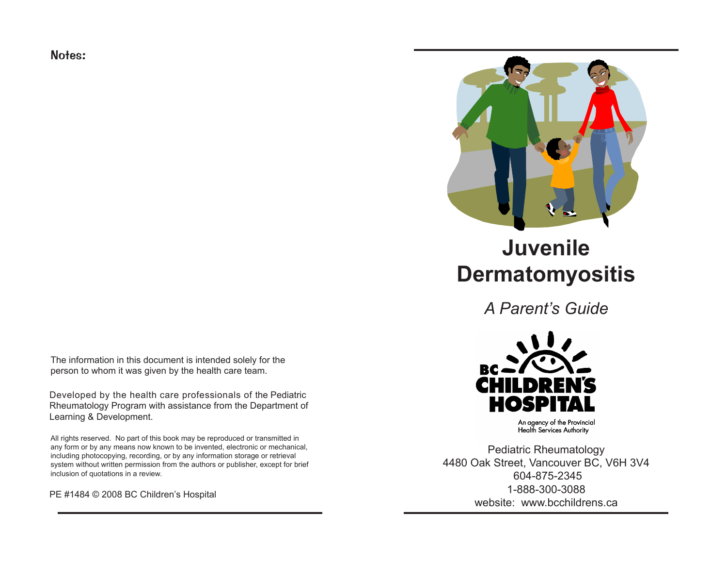Notes:



Developed by the health care professionals of the Pediatric Rheumatology Program with assistance from the Department of Learning & Development.

All rights reserved. No part of this book may be reproduced or transmitted in any form or by any means now known to be invented, electronic or mechanical, including photocopying, recording, or by any information storage or retrieval system without written permission from the authors or publisher, except for brief inclusion of quotations in a review.

PE #1484 © 2008 BC Children's Hospital



# **Juvenile Dermatomyositis**

*A Parent's Guide*



An agency of the Provincial **Health Services Authority** 

Pediatric Rheumatology 4480 Oak Street, Vancouver BC, V6H 3V4 604-875-2345 1-888-300-3088 website: www.bcchildrens.ca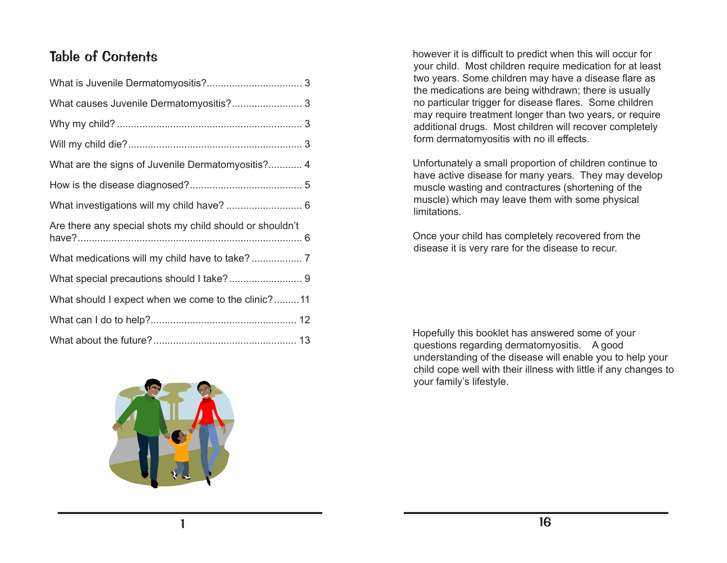## Table of Contents

| What are the signs of Juvenile Dermatomyositis? 4        |
|----------------------------------------------------------|
|                                                          |
|                                                          |
| Are there any special shots my child should or shouldn't |
|                                                          |
|                                                          |
| What should I expect when we come to the clinic?11       |
|                                                          |
|                                                          |



however it is difficult to predict when this will occur for your child. Most children require medication for at least two years. Some children may have a disease flare as the medications are being withdrawn; there is usually no particular trigger for disease flares. Some children may require treatment longer than two years, or require additional drugs. Most children will recover completely form dermatomyositis with no ill effects.

Unfortunately a small proportion of children continue to have active disease for many years. They may develop muscle wasting and contractures (shortening of the muscle) which may leave them with some physical limitations.

Once your child has completely recovered from the disease it is very rare for the disease to recur.

Hopefully this booklet has answered some of your questions regarding dermatomyositis. A good understanding of the disease will enable you to help your child cope well with their illness with little if any changes to your family's lifestyle.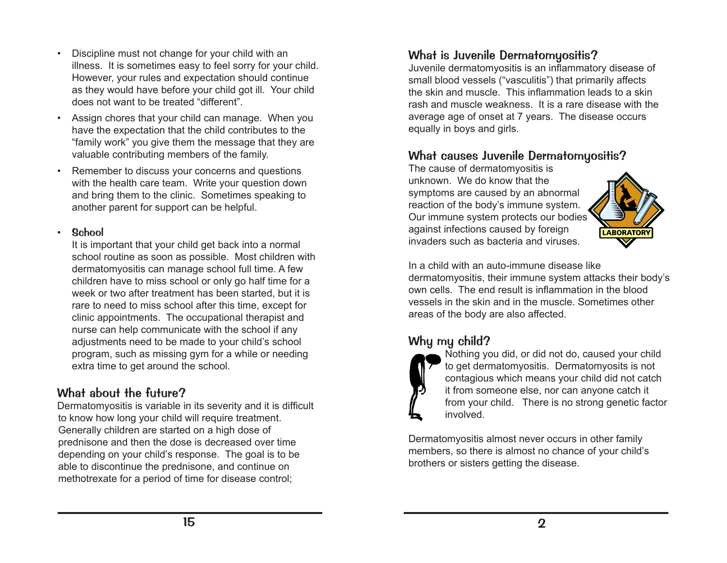- Discipline must not change for your child with an illness. It is sometimes easy to feel sorry for your child. However, your rules and expectation should continue as they would have before your child got ill. Your child does not want to be treated "different".
- Assign chores that your child can manage. When you have the expectation that the child contributes to the "family work" you give them the message that they are valuable contributing members of the family.
- Remember to discuss your concerns and questions with the health care team. Write your question down and bring them to the clinic. Sometimes speaking to another parent for support can be helpful.

#### • School

It is important that your child get back into a normal school routine as soon as possible. Most children with dermatomyositis can manage school full time. A few children have to miss school or only go half time for a week or two after treatment has been started, but it is rare to need to miss school after this time, except for clinic appointments. The occupational therapist and nurse can help communicate with the school if any adjustments need to be made to your child's school program, such as missing gym for a while or needing extra time to get around the school.

### What about the future?

Dermatomyositis is variable in its severity and it is difficult to know how long your child will require treatment. Generally children are started on a high dose of prednisone and then the dose is decreased over time depending on your child's response. The goal is to be able to discontinue the prednisone, and continue on methotrexate for a period of time for disease control;

### What is Juvenile Dermatomyositis?

Juvenile dermatomyositis is an inflammatory disease of small blood vessels ("vasculitis") that primarily affects the skin and muscle. This inflammation leads to a skin rash and muscle weakness. It is a rare disease with the average age of onset at 7 years. The disease occurs equally in boys and girls.

### What causes Juvenile Dermatomyositis?

The cause of dermatomyositis is unknown. We do know that the symptoms are caused by an abnormal reaction of the body's immune system. Our immune system protects our bodies against infections caused by foreign invaders such as bacteria and viruses.



In a child with an auto-immune disease like dermatomyositis, their immune system attacks their body's own cells. The end result is inflammation in the blood vessels in the skin and in the muscle. Sometimes other areas of the body are also affected.

### Why my child?



Nothing you did, or did not do, caused your child to get dermatomyositis. Dermatomyosits is not contagious which means your child did not catch it from someone else, nor can anyone catch it from your child. There is no strong genetic factor involved.

Dermatomyositis almost never occurs in other family members, so there is almost no chance of your child's brothers or sisters getting the disease.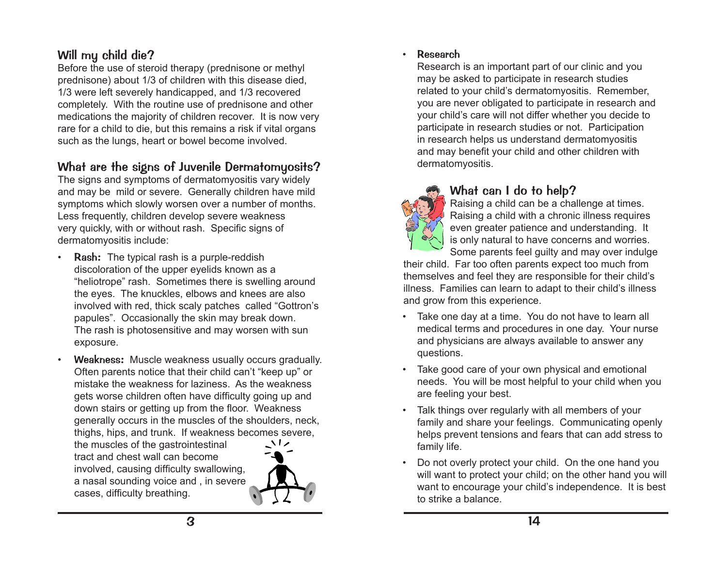### Will my child die?

Before the use of steroid therapy (prednisone or methyl prednisone) about 1/3 of children with this disease died, 1/3 were left severely handicapped, and 1/3 recovered completely. With the routine use of prednisone and other medications the majority of children recover. It is now very rare for a child to die, but this remains a risk if vital organs such as the lungs, heart or bowel become involved.

### What are the signs of Juvenile Dermatomyosits?

The signs and symptoms of dermatomyositis vary widely and may be mild or severe. Generally children have mild symptoms which slowly worsen over a number of months. Less frequently, children develop severe weakness very quickly, with or without rash. Specific signs of dermatomyositis include:

- **Rash:** The typical rash is a purple-reddish discoloration of the upper eyelids known as a "heliotrope" rash. Sometimes there is swelling around the eyes. The knuckles, elbows and knees are also involved with red, thick scaly patches called "Gottron's papules". Occasionally the skin may break down. The rash is photosensitive and may worsen with sun exposure.
- Weakness: Muscle weakness usually occurs gradually. Often parents notice that their child can't "keep up" or mistake the weakness for laziness. As the weakness gets worse children often have difficulty going up and down stairs or getting up from the floor. Weakness generally occurs in the muscles of the shoulders, neck, thighs, hips, and trunk. If weakness becomes severe,

the muscles of the gastrointestinal tract and chest wall can become involved, causing difficulty swallowing, a nasal sounding voice and , in severe cases, difficulty breathing.



#### • Research

Research is an important part of our clinic and you may be asked to participate in research studies related to your child's dermatomyositis. Remember, you are never obligated to participate in research and your child's care will not differ whether you decide to participate in research studies or not. Participation in research helps us understand dermatomyositis and may benefit your child and other children with dermatomyositis.



### What can I do to help?

Raising a child can be a challenge at times. Raising a child with a chronic illness requires even greater patience and understanding. It is only natural to have concerns and worries. Some parents feel guilty and may over indulge

their child. Far too often parents expect too much from themselves and feel they are responsible for their child's illness. Families can learn to adapt to their child's illness and grow from this experience.

- Take one day at a time. You do not have to learn all medical terms and procedures in one day. Your nurse and physicians are always available to answer any questions.
- Take good care of your own physical and emotional needs. You will be most helpful to your child when you are feeling your best.
- Talk things over regularly with all members of your family and share your feelings. Communicating openly helps prevent tensions and fears that can add stress to family life.
- Do not overly protect your child. On the one hand you will want to protect your child; on the other hand you will want to encourage your child's independence. It is best to strike a balance.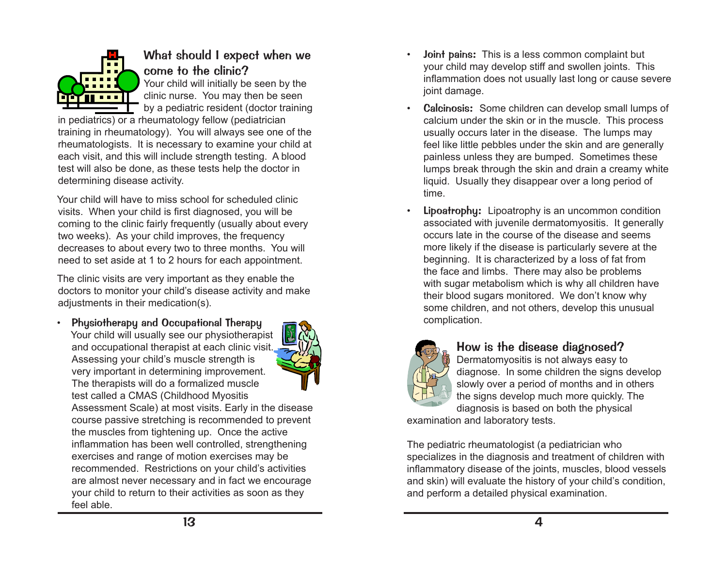

### What should I expect when we come to the clinic?

Your child will initially be seen by the clinic nurse. You may then be seen by a pediatric resident (doctor training

in pediatrics) or a rheumatology fellow (pediatrician training in rheumatology). You will always see one of the rheumatologists. It is necessary to examine your child at each visit, and this will include strength testing. A blood test will also be done, as these tests help the doctor in determining disease activity.

Your child will have to miss school for scheduled clinic visits. When your child is first diagnosed, you will be coming to the clinic fairly frequently (usually about every two weeks). As your child improves, the frequency decreases to about every two to three months. You will need to set aside at 1 to 2 hours for each appointment.

The clinic visits are very important as they enable the doctors to monitor your child's disease activity and make adjustments in their medication(s).

Physiotherapy and Occupational Therapy Your child will usually see our physiotherapist and occupational therapist at each clinic visit. Assessing your child's muscle strength is very important in determining improvement. The therapists will do a formalized muscle test called a CMAS (Childhood Myositis



Assessment Scale) at most visits. Early in the disease course passive stretching is recommended to prevent the muscles from tightening up. Once the active inflammation has been well controlled, strengthening exercises and range of motion exercises may be recommended. Restrictions on your child's activities are almost never necessary and in fact we encourage your child to return to their activities as soon as they feel able.

- Joint pains: This is a less common complaint but your child may develop stiff and swollen joints. This inflammation does not usually last long or cause severe joint damage.
- Calcinosis: Some children can develop small lumps of calcium under the skin or in the muscle. This process usually occurs later in the disease. The lumps may feel like little pebbles under the skin and are generally painless unless they are bumped. Sometimes these lumps break through the skin and drain a creamy white liquid. Usually they disappear over a long period of time.
- **Lipoatrophy:** Lipoatrophy is an uncommon condition associated with juvenile dermatomyositis. It generally occurs late in the course of the disease and seems more likely if the disease is particularly severe at the beginning. It is characterized by a loss of fat from the face and limbs. There may also be problems with sugar metabolism which is why all children have their blood sugars monitored. We don't know why some children, and not others, develop this unusual complication.



### How is the disease diagnosed?

Dermatomyositis is not always easy to diagnose. In some children the signs develop slowly over a period of months and in others the signs develop much more quickly. The diagnosis is based on both the physical

examination and laboratory tests.

The pediatric rheumatologist (a pediatrician who specializes in the diagnosis and treatment of children with inflammatory disease of the joints, muscles, blood vessels and skin) will evaluate the history of your child's condition, and perform a detailed physical examination.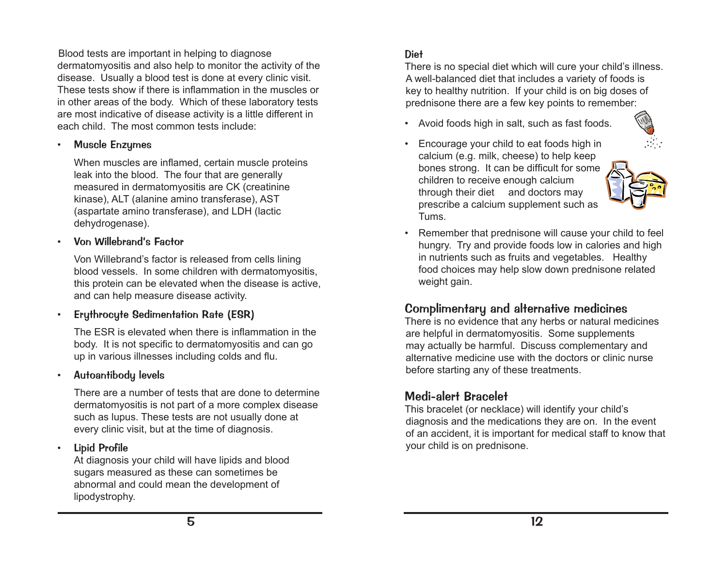Blood tests are important in helping to diagnose dermatomyositis and also help to monitor the activity of the disease. Usually a blood test is done at every clinic visit. These tests show if there is inflammation in the muscles or in other areas of the body. Which of these laboratory tests are most indicative of disease activity is a little different in each child. The most common tests include:

• Muscle Enzymes

When muscles are inflamed, certain muscle proteins leak into the blood. The four that are generally measured in dermatomyositis are CK (creatinine kinase), ALT (alanine amino transferase), AST (aspartate amino transferase), and LDH (lactic dehydrogenase).

#### • Von Willebrand's Factor

Von Willebrand's factor is released from cells lining blood vessels. In some children with dermatomyositis, this protein can be elevated when the disease is active, and can help measure disease activity.

• Erythrocyte Sedimentation Rate (ESR)

The ESR is elevated when there is inflammation in the body. It is not specific to dermatomyositis and can go up in various illnesses including colds and flu.

• Autoantibody levels

There are a number of tests that are done to determine dermatomyositis is not part of a more complex disease such as lupus. These tests are not usually done at every clinic visit, but at the time of diagnosis.

• Lipid Profile

At diagnosis your child will have lipids and blood sugars measured as these can sometimes be abnormal and could mean the development of lipodystrophy.

### Diet

There is no special diet which will cure your child's illness. A well-balanced diet that includes a variety of foods is key to healthy nutrition. If your child is on big doses of prednisone there are a few key points to remember:

- Avoid foods high in salt, such as fast foods.
- Encourage your child to eat foods high in calcium (e.g. milk, cheese) to help keep bones strong. It can be difficult for some children to receive enough calcium through their diet and doctors may prescribe a calcium supplement such as Tums.



Remember that prednisone will cause your child to feel hungry. Try and provide foods low in calories and high in nutrients such as fruits and vegetables. Healthy food choices may help slow down prednisone related weight gain.

### Complimentary and alternative medicines

There is no evidence that any herbs or natural medicines are helpful in dermatomyositis. Some supplements may actually be harmful. Discuss complementary and alternative medicine use with the doctors or clinic nurse before starting any of these treatments.

### Medi-alert Bracelet

This bracelet (or necklace) will identify your child's diagnosis and the medications they are on. In the event of an accident, it is important for medical staff to know that your child is on prednisone.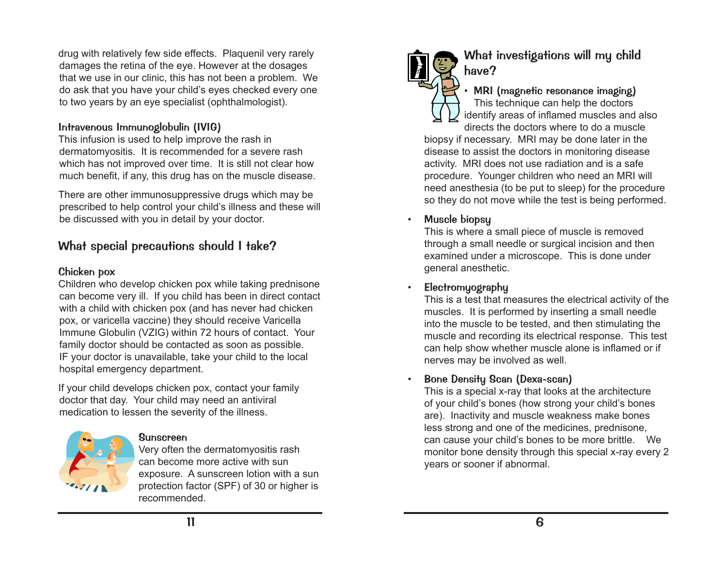drug with relatively few side effects. Plaquenil very rarely damages the retina of the eye. However at the dosages that we use in our clinic, this has not been a problem. We do ask that you have your child's eyes checked every one to two years by an eye specialist (ophthalmologist).

#### Intravenous Immunoglobulin (IVIG)

This infusion is used to help improve the rash in dermatomyositis. It is recommended for a severe rash which has not improved over time. It is still not clear how much benefit, if any, this drug has on the muscle disease.

There are other immunosuppressive drugs which may be prescribed to help control your child's illness and these will be discussed with you in detail by your doctor.

### What special precautions should I take?

#### Chicken pox

Children who develop chicken pox while taking prednisone can become very ill. If you child has been in direct contact with a child with chicken pox (and has never had chicken pox, or varicella vaccine) they should receive Varicella Immune Globulin (VZIG) within 72 hours of contact. Your family doctor should be contacted as soon as possible. IF your doctor is unavailable, take your child to the local hospital emergency department.

If your child develops chicken pox, contact your family doctor that day. Your child may need an antiviral medication to lessen the severity of the illness.



#### Sunscreen

Very often the dermatomyositis rash can become more active with sun exposure. A sunscreen lotion with a sun protection factor (SPF) of 30 or higher is recommended.



### What investigations will my child have?

• MRI (magnetic resonance imaging) This technique can help the doctors identify areas of inflamed muscles and also directs the doctors where to do a muscle

biopsy if necessary. MRI may be done later in the disease to assist the doctors in monitoring disease activity. MRI does not use radiation and is a safe procedure. Younger children who need an MRI will need anesthesia (to be put to sleep) for the procedure so they do not move while the test is being performed.

#### Muscle biopsy

This is where a small piece of muscle is removed through a small needle or surgical incision and then examined under a microscope. This is done under general anesthetic.

• Electromyography

This is a test that measures the electrical activity of the muscles. It is performed by inserting a small needle into the muscle to be tested, and then stimulating the muscle and recording its electrical response. This test can help show whether muscle alone is inflamed or if nerves may be involved as well.

#### • Bone Density Scan (Dexa-scan)

This is a special x-ray that looks at the architecture of your child's bones (how strong your child's bones are). Inactivity and muscle weakness make bones less strong and one of the medicines, prednisone, can cause your child's bones to be more brittle. We monitor bone density through this special x-ray every 2 years or sooner if abnormal.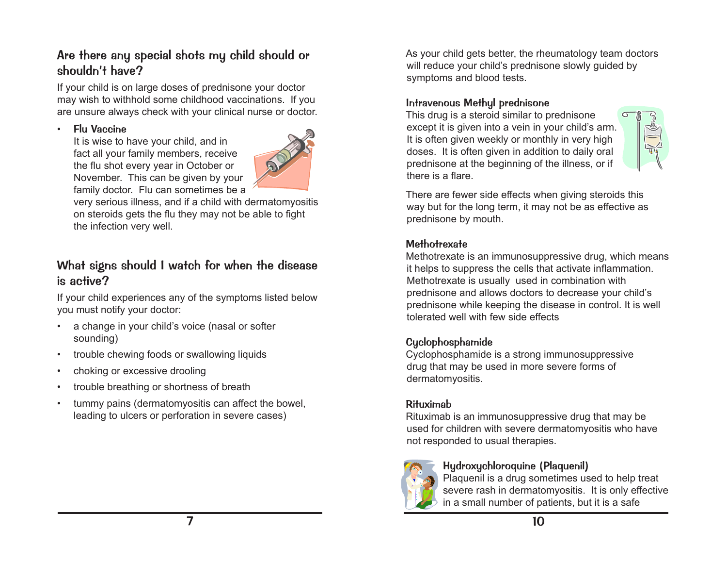### Are there any special shots my child should or shouldn't have?

If your child is on large doses of prednisone your doctor may wish to withhold some childhood vaccinations. If you are unsure always check with your clinical nurse or doctor.

#### **Flu Vaccine**

It is wise to have your child, and in fact all your family members, receive the flu shot every year in October or November. This can be given by your family doctor. Flu can sometimes be a



very serious illness, and if a child with dermatomyositis on steroids gets the flu they may not be able to fight the infection very well.

### What signs should I watch for when the disease is active?

If your child experiences any of the symptoms listed below you must notify your doctor:

- a change in your child's voice (nasal or softer sounding)
- trouble chewing foods or swallowing liquids
- choking or excessive drooling
- trouble breathing or shortness of breath
- tummy pains (dermatomyositis can affect the bowel, leading to ulcers or perforation in severe cases)

As your child gets better, the rheumatology team doctors will reduce your child's prednisone slowly guided by symptoms and blood tests.

#### Intravenous Methyl prednisone

This drug is a steroid similar to prednisone except it is given into a vein in your child's arm. It is often given weekly or monthly in very high doses. It is often given in addition to daily oral prednisone at the beginning of the illness, or if there is a flare.



There are fewer side effects when giving steroids this way but for the long term, it may not be as effective as prednisone by mouth.

#### **Methotrexate**

Methotrexate is an immunosuppressive drug, which means it helps to suppress the cells that activate inflammation. Methotrexate is usually used in combination with prednisone and allows doctors to decrease your child's prednisone while keeping the disease in control. It is well tolerated well with few side effects

#### Cyclophosphamide

Cyclophosphamide is a strong immunosuppressive drug that may be used in more severe forms of dermatomyositis.

#### Rituximab

Rituximab is an immunosuppressive drug that may be used for children with severe dermatomyositis who have not responded to usual therapies.



#### Hydroxychloroquine (Plaquenil)

Plaquenil is a drug sometimes used to help treat severe rash in dermatomyositis. It is only effective in a small number of patients, but it is a safe